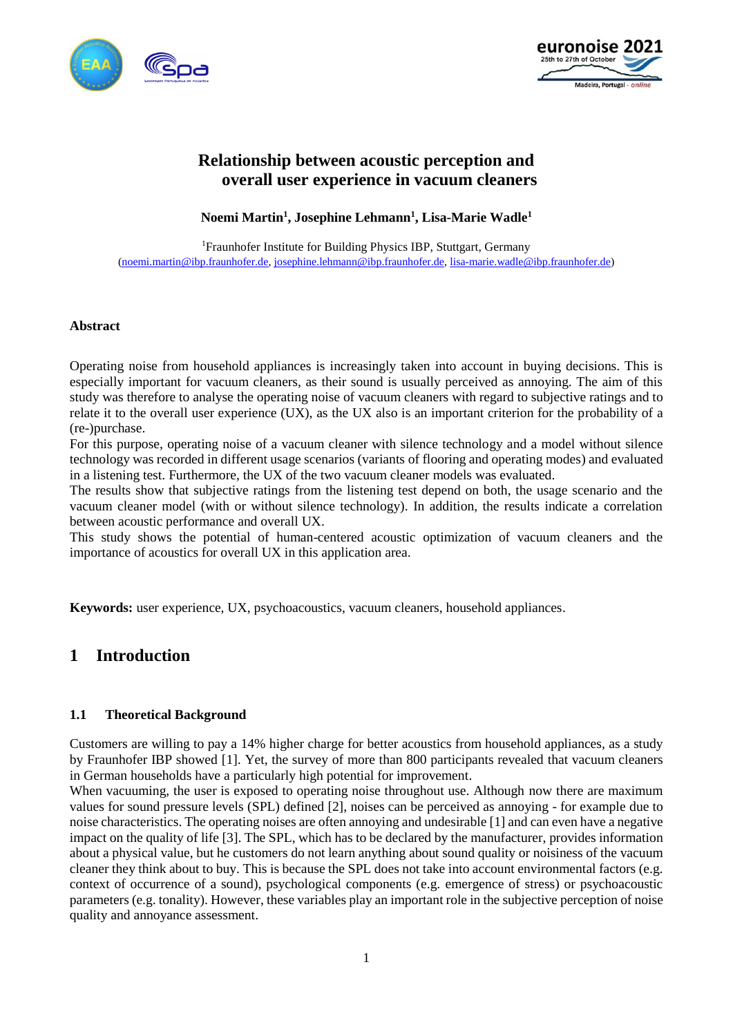



# **Relationship between acoustic perception and overall user experience in vacuum cleaners**

**Noemi Martin<sup>1</sup> , Josephine Lehmann<sup>1</sup> , Lisa-Marie Wadle<sup>1</sup>**

<sup>1</sup>Fraunhofer Institute for Building Physics IBP, Stuttgart, Germany [\(noemi.martin@ibp.fraunhofer.de,](mailto:noemi.martin@ibp.fraunhofer.de) [josephine.lehmann@ibp.fraunhofer.de,](mailto:josephine.lehmann@ibp.fraunhofer.de) [lisa-marie.wadle@ibp.fraunhofer.de\)](mailto:lisa-marie.wadle@ibp.fraunhofer.de)

#### **Abstract**

Operating noise from household appliances is increasingly taken into account in buying decisions. This is especially important for vacuum cleaners, as their sound is usually perceived as annoying. The aim of this study was therefore to analyse the operating noise of vacuum cleaners with regard to subjective ratings and to relate it to the overall user experience (UX), as the UX also is an important criterion for the probability of a (re-)purchase.

For this purpose, operating noise of a vacuum cleaner with silence technology and a model without silence technology was recorded in different usage scenarios (variants of flooring and operating modes) and evaluated in a listening test. Furthermore, the UX of the two vacuum cleaner models was evaluated.

The results show that subjective ratings from the listening test depend on both, the usage scenario and the vacuum cleaner model (with or without silence technology). In addition, the results indicate a correlation between acoustic performance and overall UX.

This study shows the potential of human-centered acoustic optimization of vacuum cleaners and the importance of acoustics for overall UX in this application area.

**Keywords:** user experience, UX, psychoacoustics, vacuum cleaners, household appliances.

## **1 Introduction**

#### **1.1 Theoretical Background**

Customers are willing to pay a 14% higher charge for better acoustics from household appliances, as a study by Fraunhofer IBP showed [1]. Yet, the survey of more than 800 participants revealed that vacuum cleaners in German households have a particularly high potential for improvement.

When vacuuming, the user is exposed to operating noise throughout use. Although now there are maximum values for sound pressure levels (SPL) defined [2], noises can be perceived as annoying - for example due to noise characteristics. The operating noises are often annoying and undesirable [1] and can even have a negative impact on the quality of life [3]. The SPL, which has to be declared by the manufacturer, provides information about a physical value, but he customers do not learn anything about sound quality or noisiness of the vacuum cleaner they think about to buy. This is because the SPL does not take into account environmental factors (e.g. context of occurrence of a sound), psychological components (e.g. emergence of stress) or psychoacoustic parameters (e.g. tonality). However, these variables play an important role in the subjective perception of noise quality and annoyance assessment.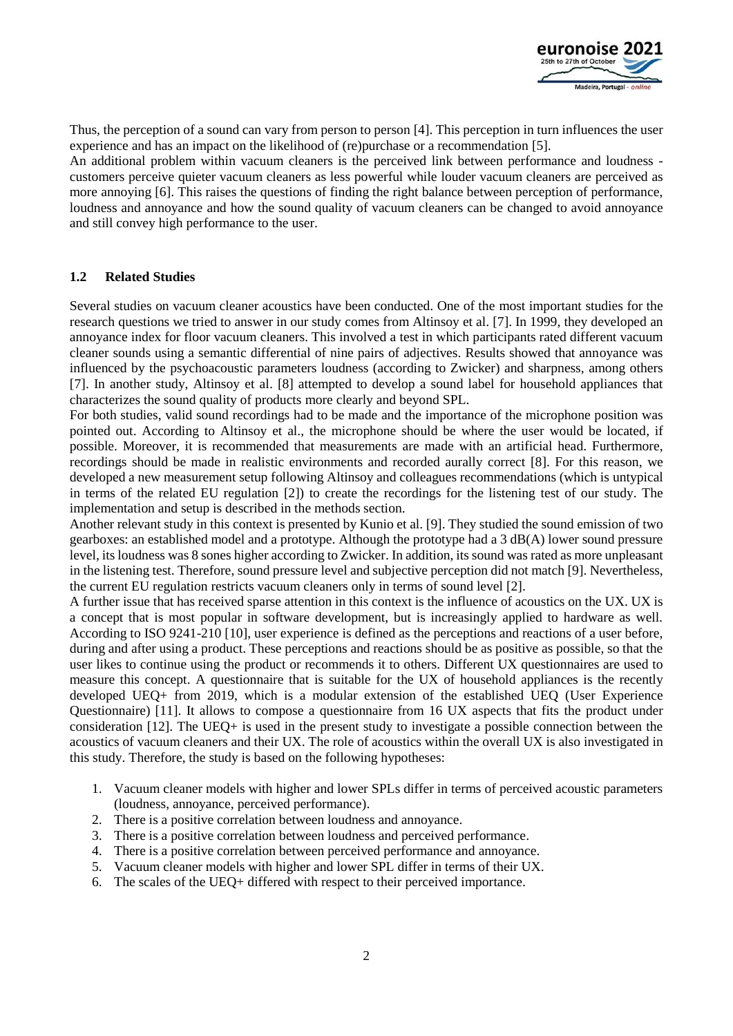

Thus, the perception of a sound can vary from person to person [4]. This perception in turn influences the user experience and has an impact on the likelihood of (re)purchase or a recommendation [5].

An additional problem within vacuum cleaners is the perceived link between performance and loudness customers perceive quieter vacuum cleaners as less powerful while louder vacuum cleaners are perceived as more annoying [6]. This raises the questions of finding the right balance between perception of performance, loudness and annoyance and how the sound quality of vacuum cleaners can be changed to avoid annoyance and still convey high performance to the user.

#### **1.2 Related Studies**

Several studies on vacuum cleaner acoustics have been conducted. One of the most important studies for the research questions we tried to answer in our study comes from Altinsoy et al. [7]. In 1999, they developed an annoyance index for floor vacuum cleaners. This involved a test in which participants rated different vacuum cleaner sounds using a semantic differential of nine pairs of adjectives. Results showed that annoyance was influenced by the psychoacoustic parameters loudness (according to Zwicker) and sharpness, among others [7]. In another study, Altinsoy et al. [8] attempted to develop a sound label for household appliances that characterizes the sound quality of products more clearly and beyond SPL.

For both studies, valid sound recordings had to be made and the importance of the microphone position was pointed out. According to Altinsoy et al., the microphone should be where the user would be located, if possible. Moreover, it is recommended that measurements are made with an artificial head. Furthermore, recordings should be made in realistic environments and recorded aurally correct [8]. For this reason, we developed a new measurement setup following Altinsoy and colleagues recommendations (which is untypical in terms of the related EU regulation [2]) to create the recordings for the listening test of our study. The implementation and setup is described in the methods section.

Another relevant study in this context is presented by Kunio et al. [9]. They studied the sound emission of two gearboxes: an established model and a prototype. Although the prototype had a 3 dB(A) lower sound pressure level, its loudness was 8 sones higher according to Zwicker. In addition, its sound was rated as more unpleasant in the listening test. Therefore, sound pressure level and subjective perception did not match [9]. Nevertheless, the current EU regulation restricts vacuum cleaners only in terms of sound level [2].

A further issue that has received sparse attention in this context is the influence of acoustics on the UX. UX is a concept that is most popular in software development, but is increasingly applied to hardware as well. According to ISO 9241-210 [10], user experience is defined as the perceptions and reactions of a user before, during and after using a product. These perceptions and reactions should be as positive as possible, so that the user likes to continue using the product or recommends it to others. Different UX questionnaires are used to measure this concept. A questionnaire that is suitable for the UX of household appliances is the recently developed UEQ+ from 2019, which is a modular extension of the established UEQ (User Experience Questionnaire) [11]. It allows to compose a questionnaire from 16 UX aspects that fits the product under consideration [12]. The UEQ+ is used in the present study to investigate a possible connection between the acoustics of vacuum cleaners and their UX. The role of acoustics within the overall UX is also investigated in this study. Therefore, the study is based on the following hypotheses:

- 1. Vacuum cleaner models with higher and lower SPLs differ in terms of perceived acoustic parameters (loudness, annoyance, perceived performance).
- 2. There is a positive correlation between loudness and annoyance.
- 3. There is a positive correlation between loudness and perceived performance.
- 4. There is a positive correlation between perceived performance and annoyance.
- 5. Vacuum cleaner models with higher and lower SPL differ in terms of their UX.
- 6. The scales of the UEQ+ differed with respect to their perceived importance.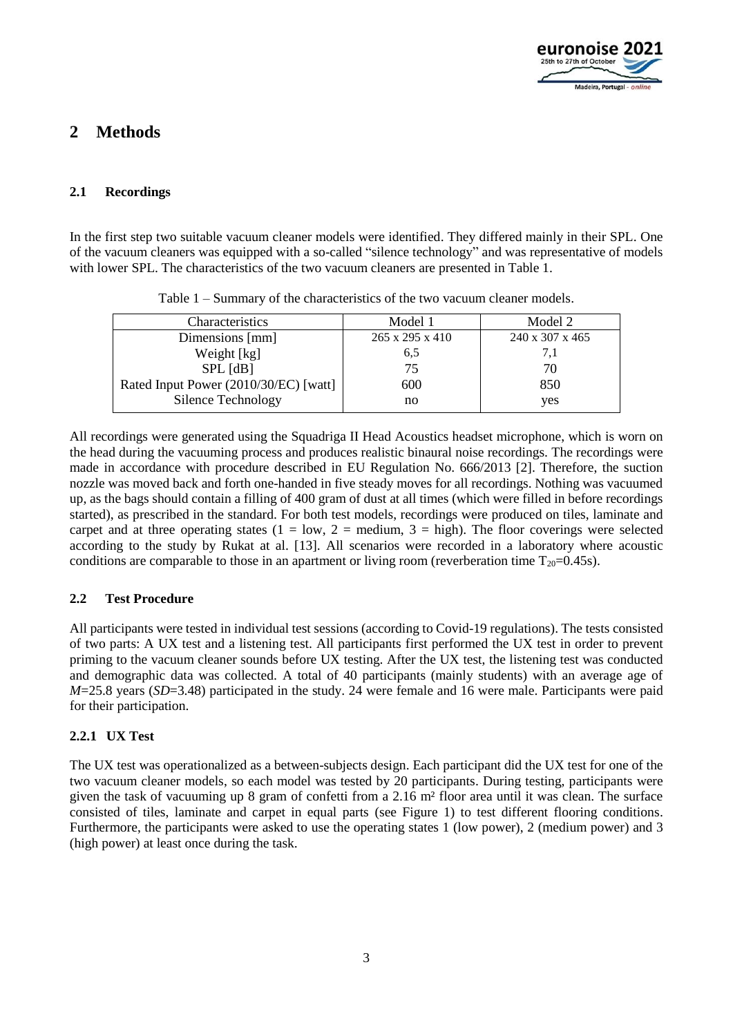

# **2 Methods**

#### **2.1 Recordings**

In the first step two suitable vacuum cleaner models were identified. They differed mainly in their SPL. One of the vacuum cleaners was equipped with a so-called "silence technology" and was representative of models with lower SPL. The characteristics of the two vacuum cleaners are presented in Table 1.

| Characteristics                       | Model 1                     | Model 2         |
|---------------------------------------|-----------------------------|-----------------|
| Dimensions [mm]                       | $265 \times 295 \times 410$ | 240 x 307 x 465 |
| Weight [kg]                           | 6,5                         | 7.1             |
| $SPL$ $[dB]$                          | 75                          | 70              |
| Rated Input Power (2010/30/EC) [watt] | 600                         | 850             |
| Silence Technology                    | no                          | yes             |

Table 1 – Summary of the characteristics of the two vacuum cleaner models.

All recordings were generated using the Squadriga II Head Acoustics headset microphone, which is worn on the head during the vacuuming process and produces realistic binaural noise recordings. The recordings were made in accordance with procedure described in EU Regulation No. 666/2013 [2]. Therefore, the suction nozzle was moved back and forth one-handed in five steady moves for all recordings. Nothing was vacuumed up, as the bags should contain a filling of 400 gram of dust at all times (which were filled in before recordings started), as prescribed in the standard. For both test models, recordings were produced on tiles, laminate and carpet and at three operating states  $(1 = low, 2 = medium, 3 = high)$ . The floor coverings were selected according to the study by Rukat at al. [13]. All scenarios were recorded in a laboratory where acoustic conditions are comparable to those in an apartment or living room (reverberation time  $T_{20}=0.45s$ ).

#### **2.2 Test Procedure**

All participants were tested in individual test sessions (according to Covid-19 regulations). The tests consisted of two parts: A UX test and a listening test. All participants first performed the UX test in order to prevent priming to the vacuum cleaner sounds before UX testing. After the UX test, the listening test was conducted and demographic data was collected. A total of 40 participants (mainly students) with an average age of *M*=25.8 years (*SD*=3.48) participated in the study. 24 were female and 16 were male. Participants were paid for their participation.

### **2.2.1 UX Test**

The UX test was operationalized as a between-subjects design. Each participant did the UX test for one of the two vacuum cleaner models, so each model was tested by 20 participants. During testing, participants were given the task of vacuuming up 8 gram of confetti from a 2.16 m² floor area until it was clean. The surface consisted of tiles, laminate and carpet in equal parts (see Figure 1) to test different flooring conditions. Furthermore, the participants were asked to use the operating states 1 (low power), 2 (medium power) and 3 (high power) at least once during the task.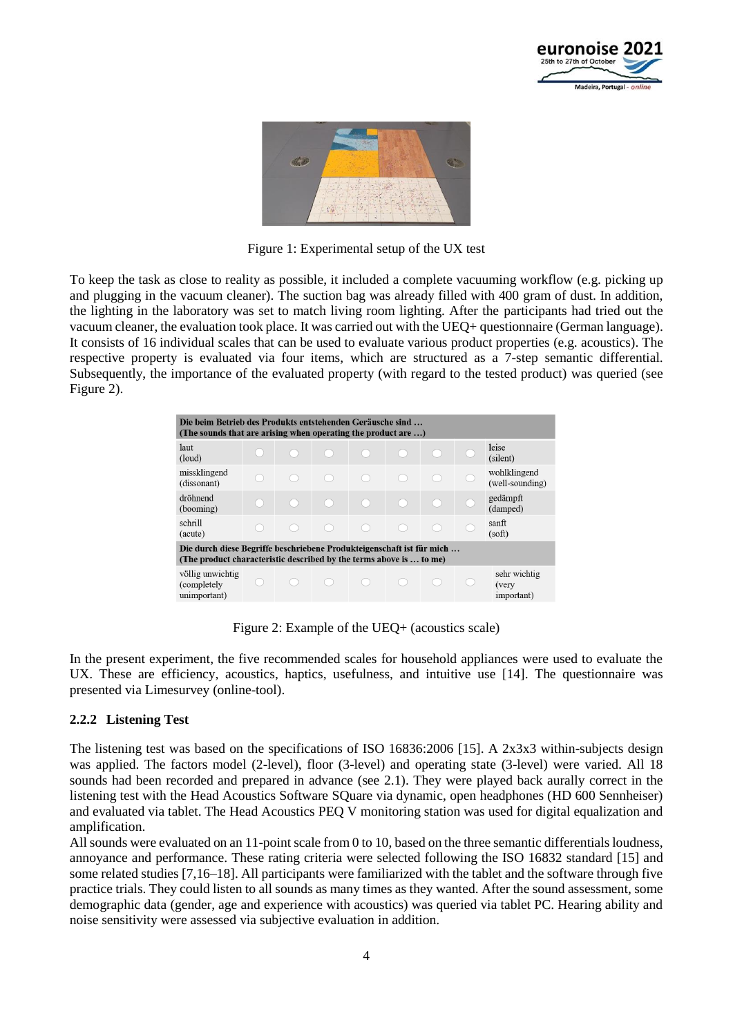



Figure 1: Experimental setup of the UX test

To keep the task as close to reality as possible, it included a complete vacuuming workflow (e.g. picking up and plugging in the vacuum cleaner). The suction bag was already filled with 400 gram of dust. In addition, the lighting in the laboratory was set to match living room lighting. After the participants had tried out the vacuum cleaner, the evaluation took place. It was carried out with the UEQ+ questionnaire (German language). It consists of 16 individual scales that can be used to evaluate various product properties (e.g. acoustics). The respective property is evaluated via four items, which are structured as a 7-step semantic differential. Subsequently, the importance of the evaluated property (with regard to the tested product) was queried (see Figure 2).

| Die beim Betrieb des Produkts entstehenden Geräusche sind<br>(The sounds that are arising when operating the product are )                   |  |  |  |  |  |  |  |                                     |  |  |
|----------------------------------------------------------------------------------------------------------------------------------------------|--|--|--|--|--|--|--|-------------------------------------|--|--|
| laut<br>(loud)                                                                                                                               |  |  |  |  |  |  |  | leise<br>(silent)                   |  |  |
| missklingend<br>(dissonant)                                                                                                                  |  |  |  |  |  |  |  | wohlklingend<br>(well-sounding)     |  |  |
| dröhnend<br>(booming)                                                                                                                        |  |  |  |  |  |  |  | gedämpft<br>(damped)                |  |  |
| schrill<br>(acute)                                                                                                                           |  |  |  |  |  |  |  | sanft<br>(soft)                     |  |  |
| Die durch diese Begriffe beschriebene Produkteigenschaft ist für mich<br>(The product characteristic described by the terms above is  to me) |  |  |  |  |  |  |  |                                     |  |  |
| völlig unwichtig<br>(completely)<br>unimportant)                                                                                             |  |  |  |  |  |  |  | sehr wichtig<br>(very<br>important) |  |  |

Figure 2: Example of the UEQ+ (acoustics scale)

In the present experiment, the five recommended scales for household appliances were used to evaluate the UX. These are efficiency, acoustics, haptics, usefulness, and intuitive use [14]. The questionnaire was presented via Limesurvey (online-tool).

### **2.2.2 Listening Test**

The listening test was based on the specifications of ISO 16836:2006 [15]. A 2x3x3 within-subjects design was applied. The factors model (2-level), floor (3-level) and operating state (3-level) were varied. All 18 sounds had been recorded and prepared in advance (see 2.1). They were played back aurally correct in the listening test with the Head Acoustics Software SQuare via dynamic, open headphones (HD 600 Sennheiser) and evaluated via tablet. The Head Acoustics PEQ V monitoring station was used for digital equalization and amplification.

All sounds were evaluated on an 11-point scale from 0 to 10, based on the three semantic differentials loudness, annoyance and performance. These rating criteria were selected following the ISO 16832 standard [15] and some related studies [7,16–18]. All participants were familiarized with the tablet and the software through five practice trials. They could listen to all sounds as many times as they wanted. After the sound assessment, some demographic data (gender, age and experience with acoustics) was queried via tablet PC. Hearing ability and noise sensitivity were assessed via subjective evaluation in addition.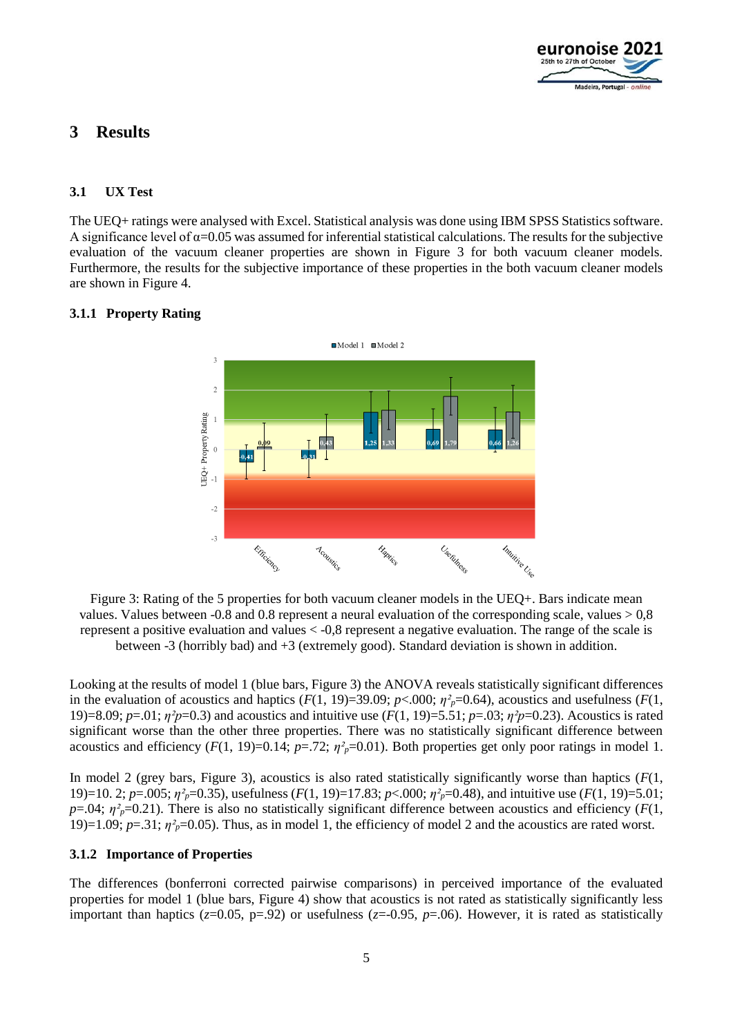

# **3 Results**

### **3.1 UX Test**

The UEQ+ ratings were analysed with Excel. Statistical analysis was done using IBM SPSS Statistics software. A significance level of  $\alpha$ =0.05 was assumed for inferential statistical calculations. The results for the subjective evaluation of the vacuum cleaner properties are shown in Figure 3 for both vacuum cleaner models. Furthermore, the results for the subjective importance of these properties in the both vacuum cleaner models are shown in Figure 4.

#### **3.1.1 Property Rating**



Figure 3: Rating of the 5 properties for both vacuum cleaner models in the UEQ+. Bars indicate mean values. Values between  $-0.8$  and 0.8 represent a neural evaluation of the corresponding scale, values  $> 0.8$ represent a positive evaluation and values < -0,8 represent a negative evaluation. The range of the scale is between -3 (horribly bad) and +3 (extremely good). Standard deviation is shown in addition.

Looking at the results of model 1 (blue bars, Figure 3) the ANOVA reveals statistically significant differences in the evaluation of acoustics and haptics  $(F(1, 19)=39.09; p<.000; \eta^2_p=0.64)$ , acoustics and usefulness  $(F(1, 19)=39.09; p<.000; \eta^2_p=0.64)$ 19)=8.09; *p*=.01; *η²p*=0.3) and acoustics and intuitive use (*F*(1, 19)=5.51; *p*=.03; *η²p*=0.23). Acoustics is rated significant worse than the other three properties. There was no statistically significant difference between acoustics and efficiency  $(F(1, 19)=0.14; p=.72; \eta^2_{p}=0.01)$ . Both properties get only poor ratings in model 1.

In model 2 (grey bars, Figure 3), acoustics is also rated statistically significantly worse than haptics (*F*(1, 19)=10. 2; *p*=.005; *η²p*=0.35), usefulness (*F*(1, 19)=17.83; *p*<.000; *η²p*=0.48), and intuitive use (*F*(1, 19)=5.01;  $p=0.04$ ;  $\eta^2$ <sup> $p=0.21$ </sup>). There is also no statistically significant difference between acoustics and efficiency (*F*(1, 19)=1.09;  $p=.31$ ;  $\eta^2$ <sub>p</sub>=0.05). Thus, as in model 1, the efficiency of model 2 and the acoustics are rated worst.

#### **3.1.2 Importance of Properties**

The differences (bonferroni corrected pairwise comparisons) in perceived importance of the evaluated properties for model 1 (blue bars, Figure 4) show that acoustics is not rated as statistically significantly less important than haptics ( $z=0.05$ ,  $p=.92$ ) or usefulness ( $z=-0.95$ ,  $p=.06$ ). However, it is rated as statistically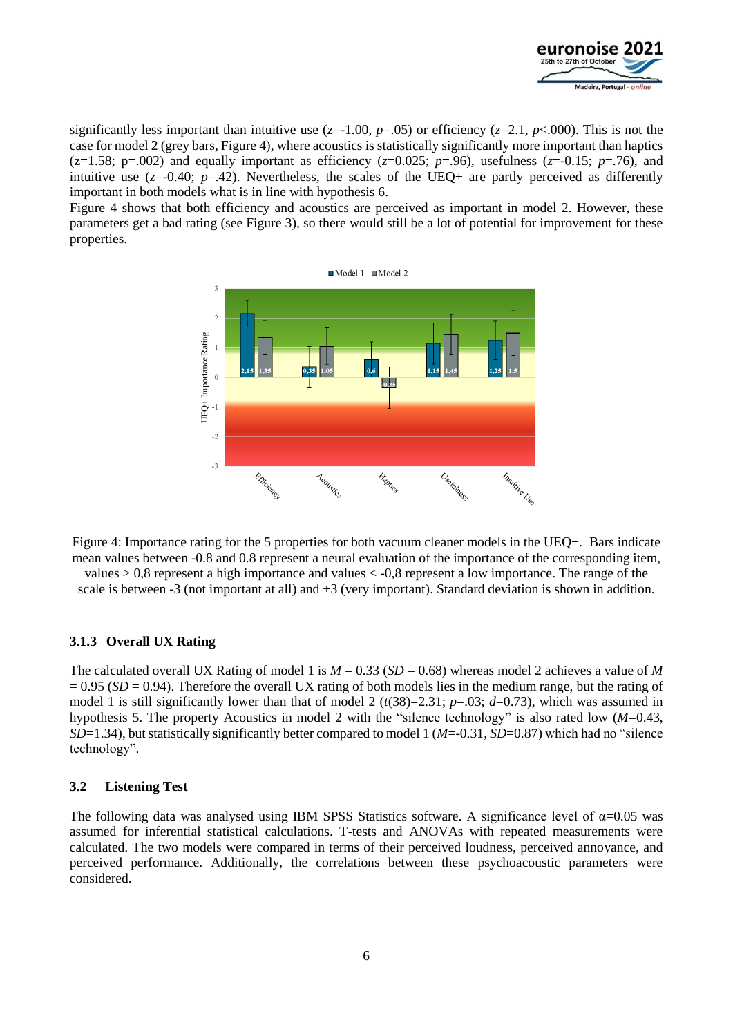

significantly less important than intuitive use  $(z=1.00, p=.05)$  or efficiency  $(z=2.1, p<.000)$ . This is not the case for model 2 (grey bars, Figure 4), where acoustics is statistically significantly more important than haptics ( $z=1.58$ ;  $p=.002$ ) and equally important as efficiency ( $z=0.025$ ;  $p=.96$ ), usefulness ( $z=-0.15$ ;  $p=.76$ ), and intuitive use  $(z=0.40; p=.42)$ . Nevertheless, the scales of the UEQ+ are partly perceived as differently important in both models what is in line with hypothesis 6.

Figure 4 shows that both efficiency and acoustics are perceived as important in model 2. However, these parameters get a bad rating (see Figure 3), so there would still be a lot of potential for improvement for these properties.



Figure 4: Importance rating for the 5 properties for both vacuum cleaner models in the UEQ+. Bars indicate mean values between -0.8 and 0.8 represent a neural evaluation of the importance of the corresponding item,

values  $> 0.8$  represent a high importance and values  $< -0.8$  represent a low importance. The range of the scale is between -3 (not important at all) and +3 (very important). Standard deviation is shown in addition.

#### **3.1.3 Overall UX Rating**

The calculated overall UX Rating of model 1 is *M* = 0.33 (*SD* = 0.68) whereas model 2 achieves a value of *M*  $= 0.95$  (*SD* = 0.94). Therefore the overall UX rating of both models lies in the medium range, but the rating of model 1 is still significantly lower than that of model 2  $(t(38)=2.31; p=.03; d=.0.73)$ , which was assumed in hypothesis 5. The property Acoustics in model 2 with the "silence technology" is also rated low (*M*=0.43, *SD*=1.34), but statistically significantly better compared to model 1 (*M*=-0.31, *SD*=0.87) which had no "silence technology".

#### **3.2 Listening Test**

The following data was analysed using IBM SPSS Statistics software. A significance level of  $\alpha$ =0.05 was assumed for inferential statistical calculations. T-tests and ANOVAs with repeated measurements were calculated. The two models were compared in terms of their perceived loudness, perceived annoyance, and perceived performance. Additionally, the correlations between these psychoacoustic parameters were considered.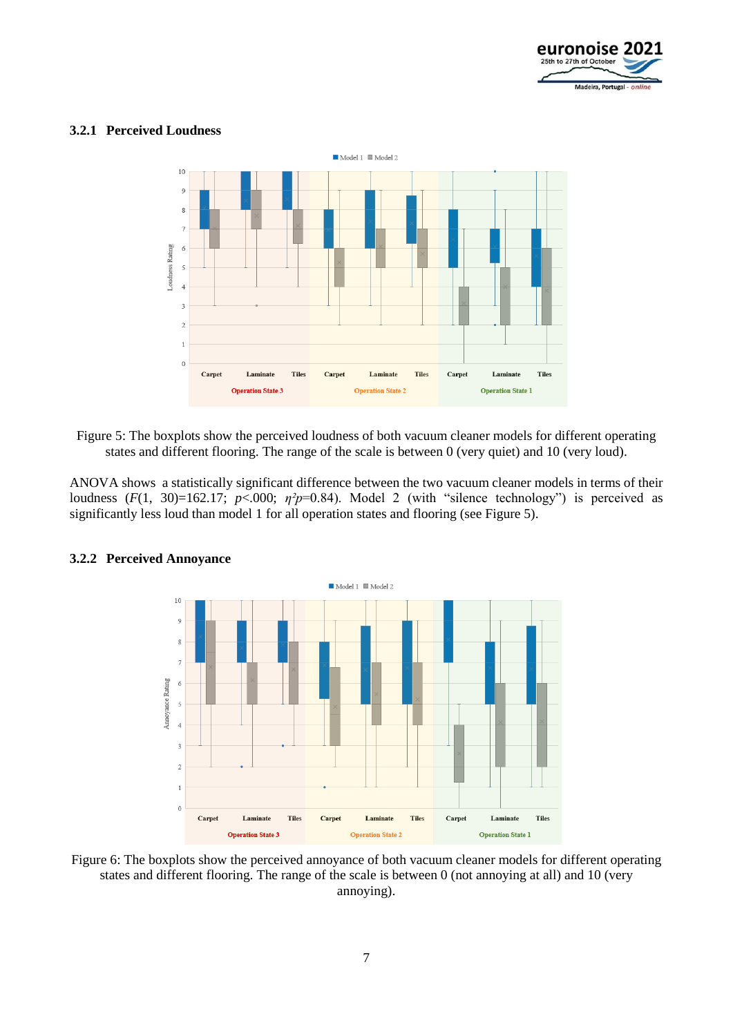

#### **3.2.1 Perceived Loudness**



Figure 5: The boxplots show the perceived loudness of both vacuum cleaner models for different operating states and different flooring. The range of the scale is between 0 (very quiet) and 10 (very loud).

ANOVA shows a statistically significant difference between the two vacuum cleaner models in terms of their loudness  $(F(1, 30)=162.17; p<.000; \eta^2p=0.84)$ . Model 2 (with "silence technology") is perceived as significantly less loud than model 1 for all operation states and flooring (see Figure 5).



#### **3.2.2 Perceived Annoyance**

Figure 6: The boxplots show the perceived annoyance of both vacuum cleaner models for different operating states and different flooring. The range of the scale is between 0 (not annoying at all) and 10 (very annoying).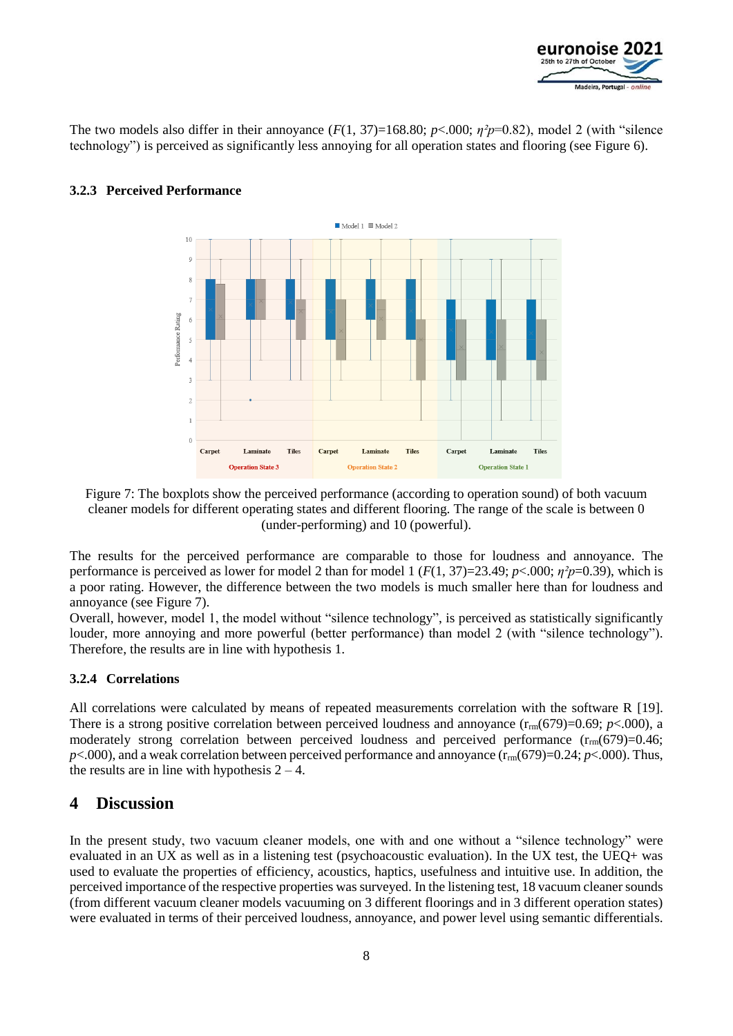

The two models also differ in their annoyance  $(F(1, 37)=168.80; p<0.00; \eta^2p=0.82)$ , model 2 (with "silence technology") is perceived as significantly less annoying for all operation states and flooring (see Figure 6).



### **3.2.3 Perceived Performance**

Figure 7: The boxplots show the perceived performance (according to operation sound) of both vacuum cleaner models for different operating states and different flooring. The range of the scale is between 0 (under-performing) and 10 (powerful).

The results for the perceived performance are comparable to those for loudness and annoyance. The performance is perceived as lower for model 2 than for model 1 ( $F(1, 37)=23.49$ ;  $p<.000$ ;  $\eta^2p=0.39$ ), which is a poor rating. However, the difference between the two models is much smaller here than for loudness and annoyance (see Figure 7).

Overall, however, model 1, the model without "silence technology", is perceived as statistically significantly louder, more annoying and more powerful (better performance) than model 2 (with "silence technology"). Therefore, the results are in line with hypothesis 1.

#### **3.2.4 Correlations**

All correlations were calculated by means of repeated measurements correlation with the software R [19]. There is a strong positive correlation between perceived loudness and annoyance  $(r_{rmm}(679)=0.69; p<.000)$ , a moderately strong correlation between perceived loudness and perceived performance  $(r_{rm{rm}}(679)=0.46;$  $p$ <.000), and a weak correlation between perceived performance and annoyance  $(r_{rmrm m}(679)=0.24; p<0.00)$ . Thus, the results are in line with hypothesis  $2 - 4$ .

## **4 Discussion**

In the present study, two vacuum cleaner models, one with and one without a "silence technology" were evaluated in an UX as well as in a listening test (psychoacoustic evaluation). In the UX test, the UEQ+ was used to evaluate the properties of efficiency, acoustics, haptics, usefulness and intuitive use. In addition, the perceived importance of the respective properties was surveyed. In the listening test, 18 vacuum cleaner sounds (from different vacuum cleaner models vacuuming on 3 different floorings and in 3 different operation states) were evaluated in terms of their perceived loudness, annoyance, and power level using semantic differentials.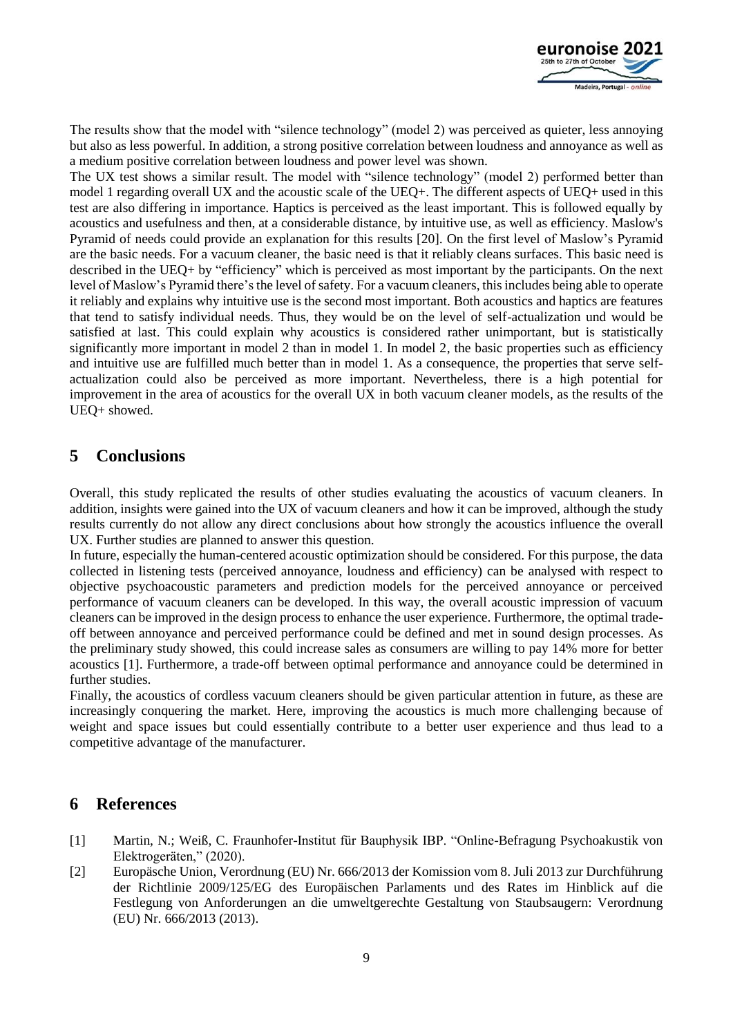

The results show that the model with "silence technology" (model 2) was perceived as quieter, less annoying but also as less powerful. In addition, a strong positive correlation between loudness and annoyance as well as a medium positive correlation between loudness and power level was shown.

The UX test shows a similar result. The model with "silence technology" (model 2) performed better than model 1 regarding overall UX and the acoustic scale of the UEQ+. The different aspects of UEQ+ used in this test are also differing in importance. Haptics is perceived as the least important. This is followed equally by acoustics and usefulness and then, at a considerable distance, by intuitive use, as well as efficiency. Maslow's Pyramid of needs could provide an explanation for this results [20]. On the first level of Maslow's Pyramid are the basic needs. For a vacuum cleaner, the basic need is that it reliably cleans surfaces. This basic need is described in the UEQ+ by "efficiency" which is perceived as most important by the participants. On the next level of Maslow's Pyramid there's the level of safety. For a vacuum cleaners, this includes being able to operate it reliably and explains why intuitive use is the second most important. Both acoustics and haptics are features that tend to satisfy individual needs. Thus, they would be on the level of self-actualization und would be satisfied at last. This could explain why acoustics is considered rather unimportant, but is statistically significantly more important in model 2 than in model 1. In model 2, the basic properties such as efficiency and intuitive use are fulfilled much better than in model 1. As a consequence, the properties that serve selfactualization could also be perceived as more important. Nevertheless, there is a high potential for improvement in the area of acoustics for the overall UX in both vacuum cleaner models, as the results of the UEQ+ showed.

## **5 Conclusions**

Overall, this study replicated the results of other studies evaluating the acoustics of vacuum cleaners. In addition, insights were gained into the UX of vacuum cleaners and how it can be improved, although the study results currently do not allow any direct conclusions about how strongly the acoustics influence the overall UX. Further studies are planned to answer this question.

In future, especially the human-centered acoustic optimization should be considered. For this purpose, the data collected in listening tests (perceived annoyance, loudness and efficiency) can be analysed with respect to objective psychoacoustic parameters and prediction models for the perceived annoyance or perceived performance of vacuum cleaners can be developed. In this way, the overall acoustic impression of vacuum cleaners can be improved in the design process to enhance the user experience. Furthermore, the optimal tradeoff between annoyance and perceived performance could be defined and met in sound design processes. As the preliminary study showed, this could increase sales as consumers are willing to pay 14% more for better acoustics [1]. Furthermore, a trade-off between optimal performance and annoyance could be determined in further studies.

Finally, the acoustics of cordless vacuum cleaners should be given particular attention in future, as these are increasingly conquering the market. Here, improving the acoustics is much more challenging because of weight and space issues but could essentially contribute to a better user experience and thus lead to a competitive advantage of the manufacturer.

## **6 References**

- [1] Martin, N.; Weiß, C. Fraunhofer-Institut für Bauphysik IBP. "Online-Befragung Psychoakustik von Elektrogeräten," (2020).
- [2] Europäsche Union, Verordnung (EU) Nr. 666/2013 der Komission vom 8. Juli 2013 zur Durchführung der Richtlinie 2009/125/EG des Europäischen Parlaments und des Rates im Hinblick auf die Festlegung von Anforderungen an die umweltgerechte Gestaltung von Staubsaugern: Verordnung (EU) Nr. 666/2013 (2013).